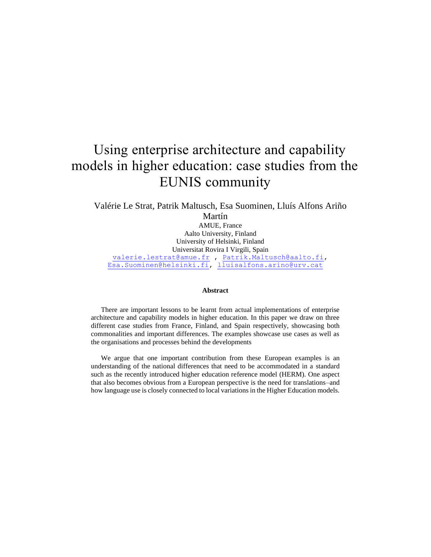# Using enterprise architecture and capability models in higher education: case studies from the EUNIS community

Valérie Le Strat, Patrik Maltusch, Esa Suominen, Lluís Alfons Ariño Martín AMUE, France Aalto University, Finland University of Helsinki, Finland Universitat Rovira I Virgili, Spain [valerie.lestrat@amue.fr](mailto:valerie.lestrat@amue.fr) , [Patrik.Maltusch@aalto.fi,](mailto:Patrik.Maltusch@aalto.fi) [Esa.Suominen@helsinki.fi,](mailto:Esa.Suominen@helsinki.fi) [lluisalfons.arino@urv.cat](mailto:lluisalfons.arino@urv.cat)

#### **Abstract**

There are important lessons to be learnt from actual implementations of enterprise architecture and capability models in higher education. In this paper we draw on three different case studies from France, Finland, and Spain respectively, showcasing both commonalities and important differences. The examples showcase use cases as well as the organisations and processes behind the developments

We argue that one important contribution from these European examples is an understanding of the national differences that need to be accommodated in a standard such as the recently introduced higher education reference model (HERM). One aspect that also becomes obvious from a European perspective is the need for translations–and how language use is closely connected to local variations in the Higher Education models.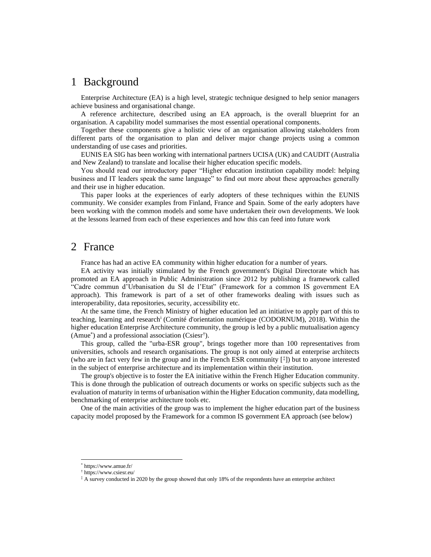## 1 Background

Enterprise Architecture (EA) is a high level, strategic technique designed to help senior managers achieve business and organisational change.

A reference architecture, described using an EA approach, is the overall blueprint for an organisation. A capability model summarises the most essential operational components.

Together these components give a holistic view of an organisation allowing stakeholders from different parts of the organisation to plan and deliver major change projects using a common understanding of use cases and priorities.

EUNIS EA SIG has been working with international partners UCISA (UK) and CAUDIT (Australia and New Zealand) to translate and localise their higher education specific models.

You should read our introductory paper "Higher education institution capability model: helping business and IT leaders speak the same language" to find out more about these approaches generally and their use in higher education.

This paper looks at the experiences of early adopters of these techniques within the EUNIS community. We consider examples from Finland, France and Spain. Some of the early adopters have been working with the common models and some have undertaken their own developments. We look at the lessons learned from each of these experiences and how this can feed into future work

## 2 France

France has had an active EA community within higher education for a number of years.

EA activity was initially stimulated by the French government's Digital Directorate which has promoted an EA approach in Public Administration since 2012 by publishing a framework called "Cadre commun d'Urbanisation du SI de l'Etat" (Framework for a common IS government EA approach). This framework is part of a set of other frameworks dealing with issues such as interoperability, data repositories, security, accessibility etc.

At the same time, the French Ministry of higher education led an initiative to apply part of this to teaching, learning and research<sup>i</sup> (Comité d'orientation numérique (CODORNUM), 2018). Within the higher education Enterprise Architecture community, the group is led by a public mutualisation agency (Amue\* ) and a professional association (Csiesr† ).

This group, called the "urba-ESR group", brings together more than 100 representatives from universities, schools and research organisations. The group is not only aimed at enterprise architects (who are in fact very few in the group and in the French ESR community  $\binom{\ddagger}{\ddagger}$ ) but to anyone interested in the subject of enterprise architecture and its implementation within their institution.

The group's objective is to foster the EA initiative within the French Higher Education community. This is done through the publication of outreach documents or works on specific subjects such as the evaluation of maturity in terms of urbanisation within the Higher Education community, data modelling, benchmarking of enterprise architecture tools etc.

One of the main activities of the group was to implement the higher education part of the business capacity model proposed by the Framework for a common IS government EA approach (see below)

<sup>\*</sup> https://www.amue.fr/

<sup>†</sup> https://www.csiesr.eu/

<sup>‡</sup> A survey conducted in 2020 by the group showed that only 18% of the respondents have an enterprise architect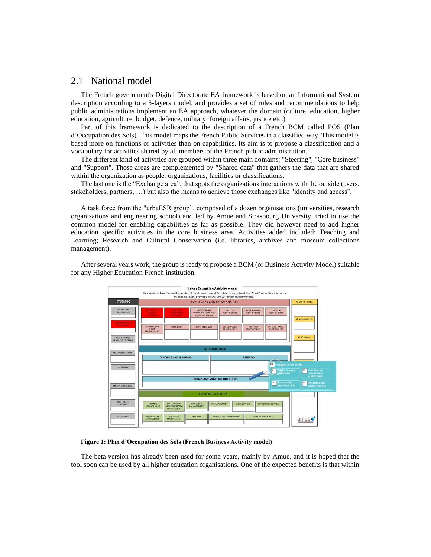### 2.1 National model

The French government's Digital Directorate EA framework is based on an Informational System description according to a 5-layers model, and provides a set of rules and recommendations to help public administrations implement an EA approach, whatever the domain (culture, education, higher education, agriculture, budget, defence, military, foreign affairs, justice etc.)

Part of this framework is dedicated to the description of a French BCM called POS (Plan d'Occupation des Sols). This model maps the French Public Services in a classified way. This model is based more on functions or activities than on capabilities. Its aim is to propose a classification and a vocabulary for activities shared by all members of the French public administration.

The different kind of activities are grouped within three main domains: "Steering", "Core business" and "Support". Those areas are complemented by "Shared data" that gathers the data that are shared within the organization as people, organizations, facilities or classifications.

The last one is the "Exchange area", that spots the organizations interactions with the outside (users, stakeholders, partners, …) but also the means to achieve those exchanges like "identity and access".

A task force from the "urbaESR group", composed of a dozen organisations (universities, research organisations and engineering school) and led by Amue and Strasbourg University, tried to use the common model for enabling capabilities as far as possible. They did however need to add higher education specific activities in the core business area. Activities added included: Teaching and Learning; Research and Cultural Conservation (i.e. libraries, archives and museum collections management).



After several years work, the group is ready to propose a BCM (or Business Activity Model) suitable for any Higher Education French institution.

**Figure 1: Plan d'Occupation des Sols (French Business Activity model)**

The beta version has already been used for some years, mainly by Amue, and it is hoped that the tool soon can be used by all higher education organisations. One of the expected benefits is that within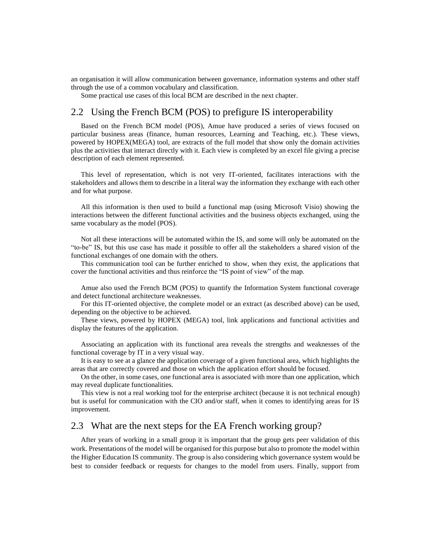an organisation it will allow communication between governance, information systems and other staff through the use of a common vocabulary and classification.

Some practical use cases of this local BCM are described in the next chapter.

### 2.2 Using the French BCM (POS) to prefigure IS interoperability

Based on the French BCM model (POS), Amue have produced a series of views focused on particular business areas (finance, human resources, Learning and Teaching, etc.). These views, powered by HOPEX(MEGA) tool, are extracts of the full model that show only the domain activities plus the activities that interact directly with it. Each view is completed by an excel file giving a precise description of each element represented.

This level of representation, which is not very IT-oriented, facilitates interactions with the stakeholders and allows them to describe in a literal way the information they exchange with each other and for what purpose.

All this information is then used to build a functional map (using Microsoft Visio) showing the interactions between the different functional activities and the business objects exchanged, using the same vocabulary as the model (POS).

Not all these interactions will be automated within the IS, and some will only be automated on the "to-be" IS, but this use case has made it possible to offer all the stakeholders a shared vision of the functional exchanges of one domain with the others.

This communication tool can be further enriched to show, when they exist, the applications that cover the functional activities and thus reinforce the "IS point of view" of the map.

Amue also used the French BCM (POS) to quantify the Information System functional coverage and detect functional architecture weaknesses.

For this IT-oriented objective, the complete model or an extract (as described above) can be used, depending on the objective to be achieved.

These views, powered by HOPEX (MEGA) tool, link applications and functional activities and display the features of the application.

Associating an application with its functional area reveals the strengths and weaknesses of the functional coverage by IT in a very visual way.

It is easy to see at a glance the application coverage of a given functional area, which highlights the areas that are correctly covered and those on which the application effort should be focused.

On the other, in some cases, one functional area is associated with more than one application, which may reveal duplicate functionalities.

This view is not a real working tool for the enterprise architect (because it is not technical enough) but is useful for communication with the CIO and/or staff, when it comes to identifying areas for IS improvement.

### 2.3 What are the next steps for the EA French working group?

After years of working in a small group it is important that the group gets peer validation of this work. Presentations of the model will be organised for this purpose but also to promote the model within the Higher Education IS community. The group is also considering which governance system would be best to consider feedback or requests for changes to the model from users. Finally, support from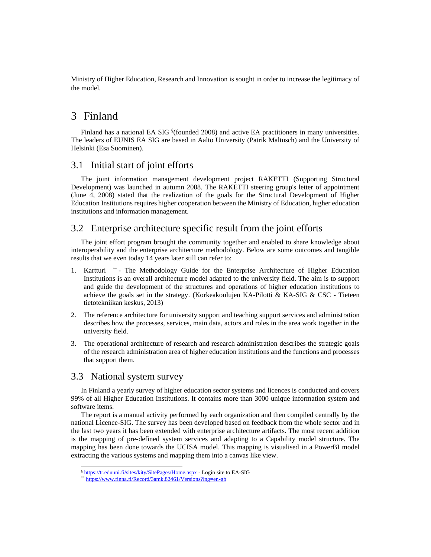Ministry of Higher Education, Research and Innovation is sought in order to increase the legitimacy of the model.

## 3 Finland

Finland has a national EA SIG § (founded 2008) and active EA practitioners in many universities. The leaders of EUNIS EA SIG are based in Aalto University (Patrik Maltusch) and the University of Helsinki (Esa Suominen).

### 3.1 Initial start of joint efforts

The joint information management development project RAKETTI (Supporting Structural Development) was launched in autumn 2008. The RAKETTI steering group's letter of appointment (June 4, 2008) stated that the realization of the goals for the Structural Development of Higher Education Institutions requires higher cooperation between the Ministry of Education, higher education institutions and information management.

### 3.2 Enterprise architecture specific result from the joint efforts

The joint effort program brought the community together and enabled to share knowledge about interoperability and the enterprise architecture methodology. Below are some outcomes and tangible results that we even today 14 years later still can refer to:

- 1. Kartturi \*\* The Methodology Guide for the Enterprise Architecture of Higher Education Institutions is an overall architecture model adapted to the university field. The aim is to support and guide the development of the structures and operations of higher education institutions to achieve the goals set in the strategy. (Korkeakoulujen KA-Pilotti & KA-SIG & CSC - Tieteen tietotekniikan keskus, 2013)
- 2. The reference architecture for university support and teaching support services and administration describes how the processes, services, main data, actors and roles in the area work together in the university field.
- 3. The operational architecture of research and research administration describes the strategic goals of the research administration area of higher education institutions and the functions and processes that support them.

### 3.3 National system survey

In Finland a yearly survey of higher education sector systems and licences is conducted and covers 99% of all Higher Education Institutions. It contains more than 3000 unique information system and software items.

The report is a manual activity performed by each organization and then compiled centrally by the national Licence-SIG. The survey has been developed based on feedback from the whole sector and in the last two years it has been extended with enterprise architecture artifacts. The most recent addition is the mapping of pre-defined system services and adapting to a Capability model structure. The mapping has been done towards the UCISA model. This mapping is visualised in a PowerBI model extracting the various systems and mapping them into a canvas like view.

<sup>§</sup> <https://tt.eduuni.fi/sites/kity/SitePages/Home.aspx> - Login site to EA-SIG

<https://www.finna.fi/Record/3amk.82461/Versions?lng=en-gb>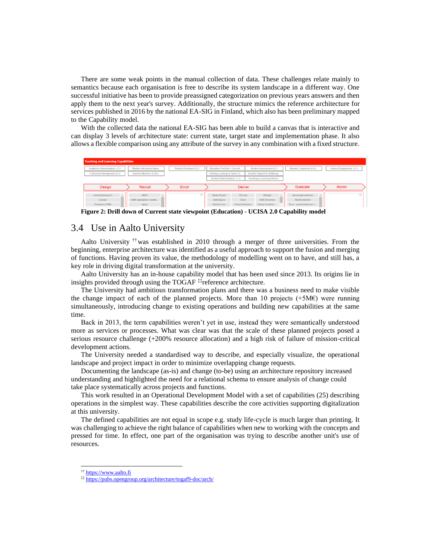There are some weak points in the manual collection of data. These challenges relate mainly to semantics because each organisation is free to describe its system landscape in a different way. One successful initiative has been to provide preassigned categorization on previous years answers and then apply them to the next year's survey. Additionally, the structure mimics the reference architecture for services published in 2016 by the national EA-SIG in Finland, which also has been preliminary mapped to the Capability model.

With the collected data the national EA-SIG has been able to build a canvas that is interactive and can display 3 levels of architecture state: current state, target state and implementation phase. It also allows a flexible comparison using any attribute of the survey in any combination with a fixed structure.

| <b>Teaching and Learning Capabilities</b> |                          |                        |                                |                              |                          |                        |
|-------------------------------------------|--------------------------|------------------------|--------------------------------|------------------------------|--------------------------|------------------------|
| Academic Administration (L1)              | Student Admission Mana   | Student Enrolment (L1) | Education Portfolio / Curricul | Student Assessment (L1)      | Student Completion & Gr. | Alumni Engagement (L1) |
| Curriculum Management (L1)                | Student Attraction & Rec |                        | Lifelong Learning & Open Ed    | Student Support & Wellbeing  |                          |                        |
|                                           |                          |                        | Student Administration (L1)    | Teaching & Learning Deliver  |                          |                        |
| Design                                    | Recruit                  | Enroll                 | <b>Deliver</b>                 |                              | Graduate                 | Alumni                 |
|                                           |                          |                        |                                |                              |                          |                        |
| avoimenfoorumi.fi                         | <b>AIMO</b>              |                        | 3Data Expert                   | 3Shape<br>3D-coat            | Aarresaari-verkosto      |                        |
| Canvas                                    | AMK-digitaalinen valinta |                        | AaltoSpace                     | <b>ABB Drivesize</b><br>Aava | Alumnirekisteri          |                        |

**Figure 2: Drill down of Current state viewpoint (Education) - UCISA 2.0 Capability model**

### 3.4 Use in Aalto University

Aalto University ††was established in 2010 through a merger of three universities. From the beginning, enterprise architecture was identified as a useful approach to support the fusion and merging of functions. Having proven its value, the methodology of modelling went on to have, and still has, a key role in driving digital transformation at the university.

Aalto University has an in-house capability model that has been used since 2013. Its origins lie in insights provided through using the TOGAF ‡‡reference architecture.

The University had ambitious transformation plans and there was a business need to make visible the change impact of each of the planned projects. More than 10 projects  $(+5M\epsilon)$  were running simultaneously, introducing change to existing operations and building new capabilities at the same time.

Back in 2013, the term capabilities weren't yet in use, instead they were semantically understood more as services or processes. What was clear was that the scale of these planned projects posed a serious resource challenge (+200% resource allocation) and a high risk of failure of mission-critical development actions.

The University needed a standardised way to describe, and especially visualize, the operational landscape and project impact in order to minimize overlapping change requests.

Documenting the landscape (as-is) and change (to-be) using an architecture repository increased understanding and highlighted the need for a relational schema to ensure analysis of change could take place systematically across projects and functions.

This work resulted in an Operational Development Model with a set of capabilities (25) describing operations in the simplest way. These capabilities describe the core activities supporting digitalization at this university.

The defined capabilities are not equal in scope e.g. study life-cycle is much larger than printing. It was challenging to achieve the right balance of capabilities when new to working with the concepts and pressed for time. In effect, one part of the organisation was trying to describe another unit's use of resources.

<sup>††</sup> [https://www.aalto.fi](https://www.aalto.fi/)

<sup>‡‡</sup> <https://pubs.opengroup.org/architecture/togaf9-doc/arch/>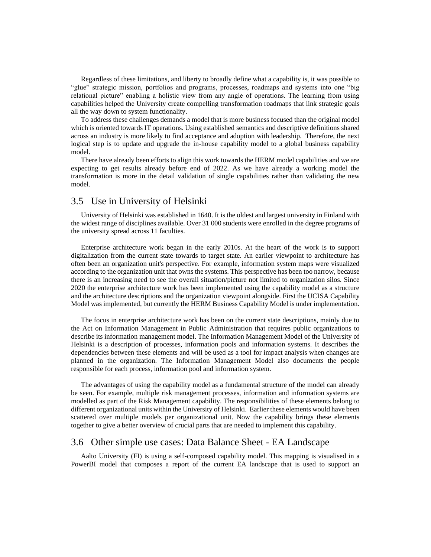Regardless of these limitations, and liberty to broadly define what a capability is, it was possible to "glue" strategic mission, portfolios and programs, processes, roadmaps and systems into one "big relational picture" enabling a holistic view from any angle of operations. The learning from using capabilities helped the University create compelling transformation roadmaps that link strategic goals all the way down to system functionality.

To address these challenges demands a model that is more business focused than the original model which is oriented towards IT operations. Using established semantics and descriptive definitions shared across an industry is more likely to find acceptance and adoption with leadership. Therefore, the next logical step is to update and upgrade the in-house capability model to a global business capability model.

There have already been efforts to align this work towards the HERM model capabilities and we are expecting to get results already before end of 2022. As we have already a working model the transformation is more in the detail validation of single capabilities rather than validating the new model.

### 3.5 Use in University of Helsinki

University of Helsinki was established in 1640. It is the oldest and largest university in Finland with the widest range of disciplines available. Over 31 000 students were enrolled in the degree programs of the university spread across 11 faculties.

Enterprise architecture work began in the early 2010s. At the heart of the work is to support digitalization from the current state towards to target state. An earlier viewpoint to architecture has often been an organization unit's perspective. For example, information system maps were visualized according to the organization unit that owns the systems. This perspective has been too narrow, because there is an increasing need to see the overall situation/picture not limited to organization silos. Since 2020 the enterprise architecture work has been implemented using the capability model as a structure and the architecture descriptions and the organization viewpoint alongside. First the UCISA Capability Model was implemented, but currently the HERM Business Capability Model is under implementation.

The focus in enterprise architecture work has been on the current state descriptions, mainly due to the Act on Information Management in Public Administration that requires public organizations to describe its information management model. The Information Management Model of the University of Helsinki is a description of processes, information pools and information systems. It describes the dependencies between these elements and will be used as a tool for impact analysis when changes are planned in the organization. The Information Management Model also documents the people responsible for each process, information pool and information system.

The advantages of using the capability model as a fundamental structure of the model can already be seen. For example, multiple risk management processes, information and information systems are modelled as part of the Risk Management capability. The responsibilities of these elements belong to different organizational units within the University of Helsinki. Earlier these elements would have been scattered over multiple models per organizational unit. Now the capability brings these elements together to give a better overview of crucial parts that are needed to implement this capability.

### 3.6 Other simple use cases: Data Balance Sheet - EA Landscape

Aalto University (FI) is using a self-composed capability model. This mapping is visualised in a PowerBI model that composes a report of the current EA landscape that is used to support an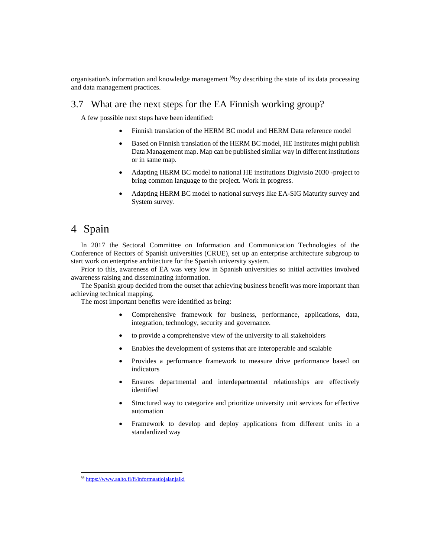organisation's information and knowledge management §§by describing the state of its data processing and data management practices.

### 3.7 What are the next steps for the EA Finnish working group?

A few possible next steps have been identified:

- Finnish translation of the HERM BC model and HERM Data reference model
- Based on Finnish translation of the HERM BC model, HE Institutes might publish Data Management map. Map can be published similar way in different institutions or in same map.
- Adapting HERM BC model to national HE institutions Digivisio 2030 -project to bring common language to the project. Work in progress.
- Adapting HERM BC model to national surveys like EA-SIG Maturity survey and System survey.

## 4 Spain

In 2017 the Sectoral Committee on Information and Communication Technologies of the Conference of Rectors of Spanish universities (CRUE), set up an enterprise architecture subgroup to start work on enterprise architecture for the Spanish university system.

Prior to this, awareness of EA was very low in Spanish universities so initial activities involved awareness raising and disseminating information.

The Spanish group decided from the outset that achieving business benefit was more important than achieving technical mapping.

The most important benefits were identified as being:

- Comprehensive framework for business, performance, applications, data, integration, technology, security and governance.
- to provide a comprehensive view of the university to all stakeholders
- Enables the development of systems that are interoperable and scalable
- Provides a performance framework to measure drive performance based on indicators
- Ensures departmental and interdepartmental relationships are effectively identified
- Structured way to categorize and prioritize university unit services for effective automation
- Framework to develop and deploy applications from different units in a standardized way

<sup>§§</sup> <https://www.aalto.fi/fi/informaatiojalanjalki>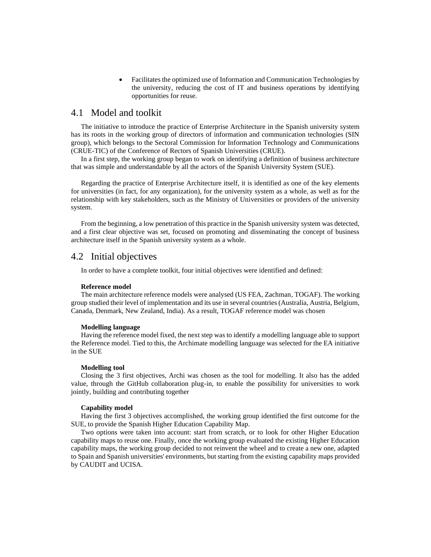• Facilitates the optimized use of Information and Communication Technologies by the university, reducing the cost of IT and business operations by identifying opportunities for reuse.

### 4.1 Model and toolkit

The initiative to introduce the practice of Enterprise Architecture in the Spanish university system has its roots in the working group of directors of information and communication technologies (SIN group), which belongs to the Sectoral Commission for Information Technology and Communications (CRUE-TIC) of the Conference of Rectors of Spanish Universities (CRUE).

In a first step, the working group began to work on identifying a definition of business architecture that was simple and understandable by all the actors of the Spanish University System (SUE).

Regarding the practice of Enterprise Architecture itself, it is identified as one of the key elements for universities (in fact, for any organization), for the university system as a whole, as well as for the relationship with key stakeholders, such as the Ministry of Universities or providers of the university system.

From the beginning, a low penetration of this practice in the Spanish university system was detected, and a first clear objective was set, focused on promoting and disseminating the concept of business architecture itself in the Spanish university system as a whole.

### 4.2 Initial objectives

In order to have a complete toolkit, four initial objectives were identified and defined:

#### **Reference model**

The main architecture reference models were analysed (US FEA, Zachman, TOGAF). The working group studied their level of implementation and its use in several countries (Australia, Austria, Belgium, Canada, Denmark, New Zealand, India). As a result, TOGAF reference model was chosen

#### **Modelling language**

Having the reference model fixed, the next step was to identify a modelling language able to support the Reference model. Tied to this, the Archimate modelling language was selected for the EA initiative in the SUE

#### **Modelling tool**

Closing the 3 first objectives, Archi was chosen as the tool for modelling. It also has the added value, through the GitHub collaboration plug-in, to enable the possibility for universities to work jointly, building and contributing together

#### **Capability model**

Having the first 3 objectives accomplished, the working group identified the first outcome for the SUE, to provide the Spanish Higher Education Capability Map.

Two options were taken into account: start from scratch, or to look for other Higher Education capability maps to reuse one. Finally, once the working group evaluated the existing Higher Education capability maps, the working group decided to not reinvent the wheel and to create a new one, adapted to Spain and Spanish universities' environments, but starting from the existing capability maps provided by CAUDIT and UCISA.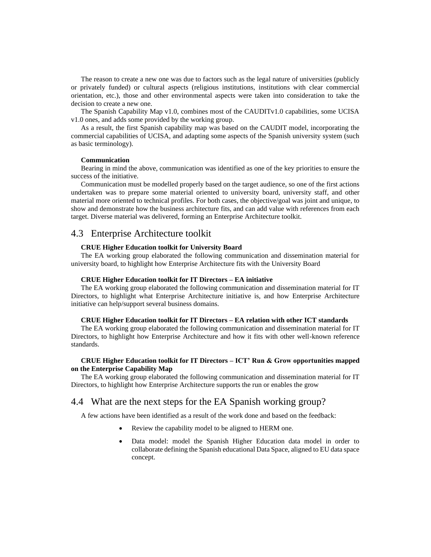The reason to create a new one was due to factors such as the legal nature of universities (publicly or privately funded) or cultural aspects (religious institutions, institutions with clear commercial orientation, etc.), those and other environmental aspects were taken into consideration to take the decision to create a new one.

The Spanish Capability Map v1.0, combines most of the CAUDITv1.0 capabilities, some UCISA v1.0 ones, and adds some provided by the working group.

As a result, the first Spanish capability map was based on the CAUDIT model, incorporating the commercial capabilities of UCISA, and adapting some aspects of the Spanish university system (such as basic terminology).

#### **Communication**

Bearing in mind the above, communication was identified as one of the key priorities to ensure the success of the initiative.

Communication must be modelled properly based on the target audience, so one of the first actions undertaken was to prepare some material oriented to university board, university staff, and other material more oriented to technical profiles. For both cases, the objective/goal was joint and unique, to show and demonstrate how the business architecture fits, and can add value with references from each target. Diverse material was delivered, forming an Enterprise Architecture toolkit.

### 4.3 Enterprise Architecture toolkit

#### **CRUE Higher Education toolkit for University Board**

The EA working group elaborated the following communication and dissemination material for university board, to highlight how Enterprise Architecture fits with the University Board

#### **CRUE Higher Education toolkit for IT Directors – EA initiative**

The EA working group elaborated the following communication and dissemination material for IT Directors, to highlight what Enterprise Architecture initiative is, and how Enterprise Architecture initiative can help/support several business domains.

#### **CRUE Higher Education toolkit for IT Directors – EA relation with other ICT standards**

The EA working group elaborated the following communication and dissemination material for IT Directors, to highlight how Enterprise Architecture and how it fits with other well-known reference standards.

#### **CRUE Higher Education toolkit for IT Directors – ICT' Run & Grow opportunities mapped on the Enterprise Capability Map**

The EA working group elaborated the following communication and dissemination material for IT Directors, to highlight how Enterprise Architecture supports the run or enables the grow

### 4.4 What are the next steps for the EA Spanish working group?

A few actions have been identified as a result of the work done and based on the feedback:

- Review the capability model to be aligned to HERM one.
- Data model: model the Spanish Higher Education data model in order to collaborate defining the Spanish educational Data Space, aligned to EU data space concept.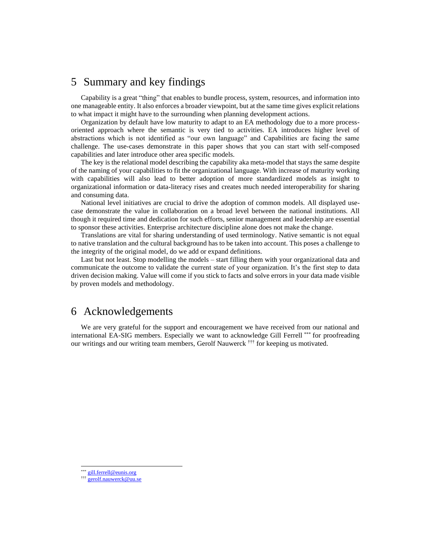## 5 Summary and key findings

Capability is a great "thing" that enables to bundle process, system, resources, and information into one manageable entity. It also enforces a broader viewpoint, but at the same time gives explicit relations to what impact it might have to the surrounding when planning development actions.

Organization by default have low maturity to adapt to an EA methodology due to a more processoriented approach where the semantic is very tied to activities. EA introduces higher level of abstractions which is not identified as "our own language" and Capabilities are facing the same challenge. The use-cases demonstrate in this paper shows that you can start with self-composed capabilities and later introduce other area specific models.

The key is the relational model describing the capability aka meta-model that stays the same despite of the naming of your capabilities to fit the organizational language. With increase of maturity working with capabilities will also lead to better adoption of more standardized models as insight to organizational information or data-literacy rises and creates much needed interoperability for sharing and consuming data.

National level initiatives are crucial to drive the adoption of common models. All displayed usecase demonstrate the value in collaboration on a broad level between the national institutions. All though it required time and dedication for such efforts, senior management and leadership are essential to sponsor these activities. Enterprise architecture discipline alone does not make the change.

Translations are vital for sharing understanding of used terminology. Native semantic is not equal to native translation and the cultural background has to be taken into account. This poses a challenge to the integrity of the original model, do we add or expand definitions.

Last but not least. Stop modelling the models – start filling them with your organizational data and communicate the outcome to validate the current state of your organization. It's the first step to data driven decision making. Value will come if you stick to facts and solve errors in your data made visible by proven models and methodology.

## 6 Acknowledgements

We are very grateful for the support and encouragement we have received from our national and international EA-SIG members. Especially we want to acknowledge Gill Ferrell \*\*\* for proofreading our writings and our writing team members, Gerolf Nauwerck ††† for keeping us motivated.

[gill.ferrell@eunis.org](mailto:gill.ferrell@eunis.org)

<sup>†††</sup> [gerolf.nauwerck@uu.se](mailto:gerolf.nauwerck@uu.se)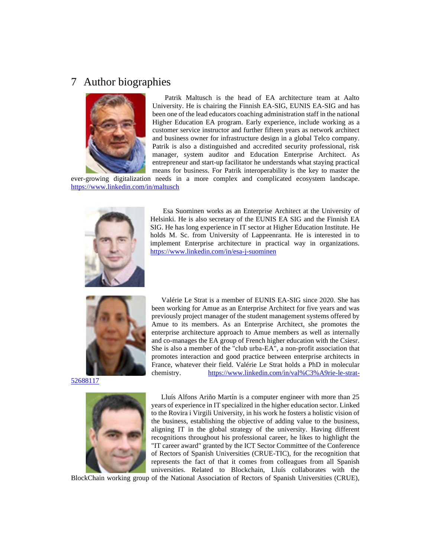## 7 Author biographies



Patrik Maltusch is the head of EA architecture team at Aalto University. He is chairing the Finnish EA-SIG, EUNIS EA-SIG and has been one of the lead educators coaching administration staff in the national Higher Education EA program. Early experience, include working as a customer service instructor and further fifteen years as network architect and business owner for infrastructure design in a global Telco company. Patrik is also a distinguished and accredited security professional, risk manager, system auditor and Education Enterprise Architect. As entrepreneur and start-up facilitator he understands what staying practical means for business. For Patrik interoperability is the key to master the

ever-growing digitalization needs in a more complex and complicated ecosystem landscape. <https://www.linkedin.com/in/maltusch>



Esa Suominen works as an Enterprise Architect at the University of Helsinki. He is also secretary of the EUNIS EA SIG and the Finnish EA SIG. He has long experience in IT sector at Higher Education Institute. He holds M. Sc. from University of Lappeenranta. He is interested in to implement Enterprise architecture in practical way in organizations. <https://www.linkedin.com/in/esa-j-suominen>



[52688117](https://www.linkedin.com/in/val%C3%A9rie-le-strat-52688117)



Valérie Le Strat is a member of EUNIS EA-SIG since 2020. She has been working for Amue as an Enterprise Architect for five years and was previously project manager of the student management systems offered by Amue to its members. As an Enterprise Architect, she promotes the enterprise architecture approach to Amue members as well as internally and co-manages the EA group of French higher education with the Csiesr. She is also a member of the "club urba-EA", a non-profit association that promotes interaction and good practice between enterprise architects in France, whatever their field. Valérie Le Strat holds a PhD in molecular chemistry. [https://www.linkedin.com/in/val%C3%A9rie-le-strat-](https://www.linkedin.com/in/val%C3%A9rie-le-strat-52688117)

Lluís Alfons Ariño Martín is a computer engineer with more than 25 years of experience in IT specialized in the higher education sector. Linked to the Rovira i Virgili University, in his work he fosters a holistic vision of the business, establishing the objective of adding value to the business, aligning IT in the global strategy of the university. Having different recognitions throughout his professional career, he likes to highlight the "IT career award" granted by the ICT Sector Committee of the Conference of Rectors of Spanish Universities (CRUE-TIC), for the recognition that represents the fact of that it comes from colleagues from all Spanish universities. Related to Blockchain, Lluís collaborates with the

BlockChain working group of the National Association of Rectors of Spanish Universities (CRUE),